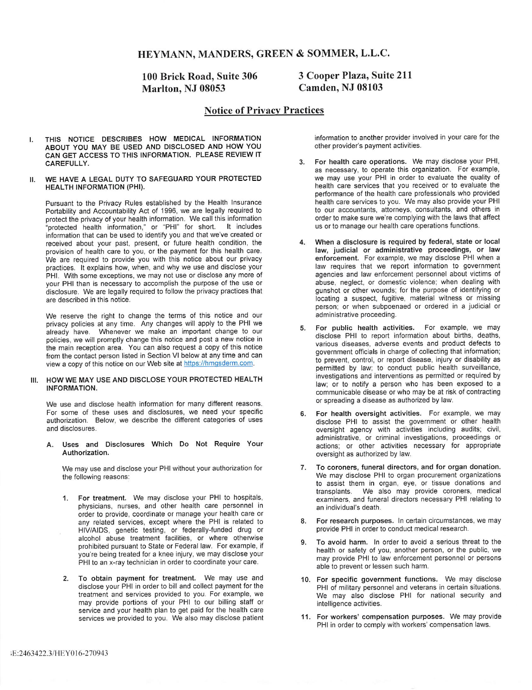## HEYMANN, MANDERS, GREEN & SOMMER, L.L.C.

# 100 Brick Road, Suite 306 Marlton, NJ 08053

## 3 Cooper Plaza, Suite 211 Camden, NJ 08103

## Notice of Privacy Practices

- THIS NOTICE DESCRIBES HOW MEDICAL INFORMATION ABOUT YOU MAY BE USED AND DISCLOSED AND HOW YOU CAN GET ACCESS TO THIS INFORMATION. PLEASE REVIEW IT CAREFULLY. I.
- WE HAVE A LEGAL DUTY TO SAFEGUARD YOUR PROTECTED HEALTH INFORMATION (PHI). II.

Pursuant to the Privacy Rules established by the Health Insurance Portability and Accountability Act of 1996, we are legally required to protect the privacy of your health information. We call this information "protected health information," or "PHI" for short, information that can be used to identify you and that we've created or received about your past, present, or future health condition, the provision of health care to you, or the payment for this health care. We are required to provide you with this notice about our privacy practices. It explains how, when, and why we use and disclose your PHI. With some exceptions, we may not use or disclose any more of your PHI than is necessary to accomplish the purpose of the use or your PHI than is necessary to accomplish the purpose of the use or disclosure. We are legally required to follow the privacy practices that are described in this notice. It includes

We reserve the right to change the terms of this notice and our privacy policies at any time. Any changes will apply to the PHI we already have. Whenever we make an important change to our policies, we will promptly change this notice and post a new notice in the main reception area. You can also request a copy of this notice from the contact person listed in Section VI below at any time and can view a copy of this notice on our Web site at https://hmqsderm.com.

### III. HOW WE MAY USE AND DISCLOSE YOUR PROTECTED HEALTH INFORMATION.

We use and disclose health information for many different reasons. For some of these uses and disclosures, we need your specific authorization. Below, we describe the different categories of uses and disclosures.

A. Uses and Disclosures Which Do Not Require Your Authorization.

We may use and disclose your PHI without your authorization for the following reasons;

- 1. For treatment. We may disclose your PHI to hospitals, physicians, nurses, and other health care personnel in order to provide, coordinate or manage your health care or any related services, except where the PHI is related to HIV/AIDS, genetic testing, or federally-funded drug or alcohol abuse treatment facilities, or where otherwise prohibited pursuant to State or Federal law. For example, if you're being treated for a knee injury, we may disclose your PHI to an x-ray technician in order to coordinate your care.
- 2. To obtain payment for treatment. We may use and disclose your PHI in order to bill and collect payment for the treatment and services provided to you. For example, we may provide portions of your PHI to our billing staff or service and your health plan to get paid for the health care services we provided to you. We also may disclose patient

information to another provider involved in your care for the other provider's payment activities.

- 3. For health care operations. We may disclose your PHI, as necessary, to operate this organization. For example, we may use your PHI in order to evaluate the quality of health care services that you received or to evaluate the performance of the health care professionals who provided health care services to you. We may also provide your PHI to our accountants, attorneys, consultants, and others in order to make sure we're complying with the laws that affect us or to manage our health care operations functions.
- 4. When a disclosure is required by federal, state or local law, judicial or administrative proceedings, or law enforcement. For example, we may disclose PHI when a law requires that we report information to government agencies and law enforcement personnel about victims of agencies and law enforcement personnel about victims of abuse, neglect, or domestic violence; when dealing with gunshot or other wounds; for the purpose of identifying or locating a suspect, fugitive, material witness or missing person; or when subpoenaed or ordered in a judicial or administrative proceeding.
- 5. For public health activities. For example, we may disclose PHI to report information about births, deaths, various diseases, adverse events and product defects to government officials in charge of collecting that information; to prevent, control, or report disease, injury or disability as permitted by law; to conduct public health surveillance, investigations and interventions as permitted or required by law; or to notify a person who has been exposed to a communicable disease or who may be at risk of contracting or spreading a disease as authorized by law.
- 6. For health oversight activities. For example, we may disclose PHI to assist the government or other health oversight agency with activities including audits; civil, administrative, or criminal investigations, proceedings or actions; or other activities necessary for appropriate oversight as authorized by law.
- 7. To coroners, funeral directors, and for organ donation. We may disclose PHI to organ procurement organizations to assist them in organ, eye, or tissue donations and transplants. We also may provide coroners, medical We also may provide coroners, medical examiners, and funeral directors necessary PHI relating to an individual's death.
- 8. For research purposes. In certain circumstances, we may provide PHI in order to conduct medical research.
- 9. To avoid harm. In order to avoid a serious threat to the health or safety of you, another person, or the public, we may provide PHI to law enforcement personnel or persons able to prevent or lessen such harm.
- 10. For specific government functions. We may disclose PHI of military personnel and veterans in certain situations. We may also disclose PHI for national security and intelligence activities.
- 11. For workers'compensation purposes. We may provide PHI in order to comply with workers' compensation laws.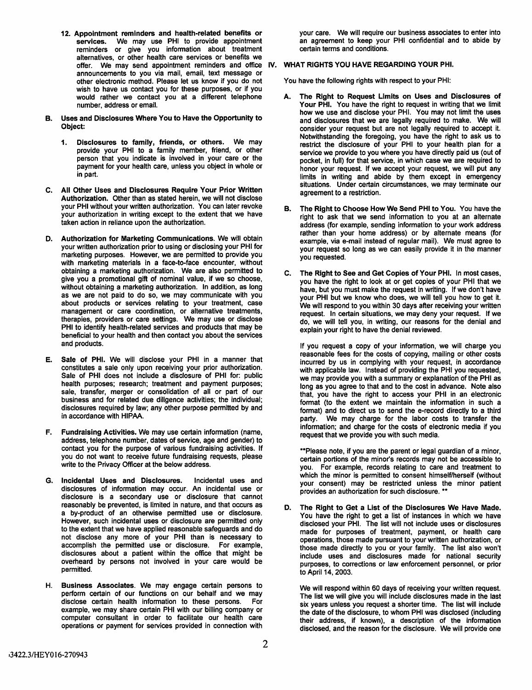- 12. Appointment reminders and health-related benefits or<br>services. We may use PHI to provide appointment We may use PHI to provide appointment reminders or give you information about treatment alternatives, or other health care services or benefits we offer. We may send appointment reminders and office IV. WHAT RIGHTS YOU HAVE REGARDING YOUR PHI. announcements to you via mail, email, text message or other electronic method. Please let us know if you do not wish to have us contact you for these purposes, or if you would rather we contact you at a different telephone number, address or email.
- Uses and Disclosures Where You to Have the Opportunity to Object: B.
	- 1. Disclosures to family, friends, or others. We may provide your PHI to a family member, friend, or other person that you indicate is involved in your care or the payment for your health care, unless you object in whole or in part.
- All Other Uses and Disclosures Require Your Prior Written C. Authorization. Other than as stated herein, we will not disclose your PHI without your written authorization. You can later revoke your authorization in writing except to the extent that we have taken action in reliance upon the authorization.
- D. Authorization for Marketing Communications. We will obtain your written authorization prior to using or disclosing your PHI for marketing purposes. However, we are permitted to provide you with marketing materials in a face-to-face encounter, without obtaining a marketing authorization. We are also permitted to give you a promotional gift of nominal value, if we so choose, without obtaining a marketing authorization. In addition, as long as we are not paid to do so, we may communicate with you about products or services relating to your treatment, case management or care coordination, or alternative treatments, therapies, providers or care settings. We may use or disclose PHI to identify health-related services and products that may be beneficial to your health and then contact you about the services and products.
- Sale of PHI. We will disclose your PHI in a manner that constitutes a sale only upon receiving your prior authorization. Sale of PHI does not include a disclosure of PHI for: public health purposes; research; treatment and payment purposes; sale, transfer, merger or consolidation of all or part of our business and for related due diligence activities; the individual; disclosures required by law; any other purpose permitted by and in accordance with HIPAA. E.
- Fundraising Activities. We may use certain information (name, address, telephone number, dates of service, age and gender) to contact you for the purpose of various fundraising activities. If you do not want to receive future fundraising requests, please write to the Privacy Officer at the below address. F.
- G. Incidental Uses and Disclosures. Incidental uses and disclosures of information may occur. An incidental use or disclosure is a secondary use or disclosure that cannot reasonably be prevented, is limited in nature, and that occurs as a by-product of an otherwise permitted use or disclosure. However, such incidental uses or disclosure are permitted only to the extent that we have applied reasonable safeguards and do not disclose any more of your PHI than is necessary to accomplish the permitted use or disclosure. For example, disclosures about a patient within the office that might be overheard by persons not involved in your care would be permitted.
- H. Business Associates. We may engage certain persons to perform certain of our functions on our behalf and we may disclose certain health information to these persons, For example, we may share certain PHI with our billing company or computer consultant in order to facilitate our health care operations or payment for services provided in connection with

your care. We will require our business associates to enter into an agreement to keep your PHI confidential and to abide by certain terms and conditions.

You have the following rights with respect to your PHI:

- A. The Right to Request Limits on Uses and Disclosures of Your PHI. You have the right to request in writing that we limit how we use and disclose your PHI. You may not limit the uses and disclosures that we are legally required to make. We will consider your request but are not legally required to accept it. Notwithstanding the foregoing, you have the right to ask us to restrict the disclosure of your PHI to your health plan for a service we provide to you where you have directly paid us (out of pocket, in full) for that service, in which case we are required to honor your request. If we accept your request, we will put any limits in writing and abide by them except in emergency situations. Under certain circumstances, we may terminate our agreement to a restriction.
- B. The Right to Choose How We Send PHI to You. You have the right to ask that we send information to you at an alternate address (for example, sending information to your work address rather than your home address) or by alternate means (for example, via e-mail instead of regular mail). We must agree to your request so long as we can easily provide it in the manner you requested.
- C. The Right to See and Get Copies of Your PHI. In most cases, you have the right to look at or get copies of your PHI that we have, but you must make the request in writing. If we don't have your PHI but we know who does, we will teil you how to get it. We will respond to you within 30 days after receiving your written request. In certain situations, we may deny your request. If we do, we will tell you, in writing, our reasons for the denial and explain your right to have the denial reviewed.

If you request a copy of your information, we will charge you reasonable fees for the costs of copying, mailing or other costs incurred by us in complying with your request, in accordance with applicable law. Instead of providing the PHI you requested, we may provide you with a summary or explanation of the PHI as long as you agree to that and to the cost in advance. Note also that, you have the right to access your PHI in an electronic format (to the extent we maintain the information in such a format) and to direct us to send the e-record directly to a third party. We may charge for the labor costs to transfer the We may charge for the labor costs to transfer the information; and charge for the costs of electronic media if you request that we provide you with such media.

'''Please note, if you are the parent or legal guardian of a minor, certain portions of the minor's records may not be accessible to you. For example, records relating to care and treatment to which the minor is permitted to consent himself/herself (without your consent) may be restricted unless the minor patient provides an authorization for such disclosure. '\*\*

D. The Right to Get a List of the Disclosures We Have Made. You have the right to get a list of instances in which we have disclosed your PHI. The list will not include uses or disclosures made for purposes of treatment, payment, or health care operations, those made pursuant to your written authorization, or those made directly to you or your family. The list also won't include uses and disclosures made for national security purposes, to corrections or law enforcement personnel, or prior to April 14, 2003.

We will respond within 60 days of receiving your written request. The list we will give you will include disclosures made in the last six years unless you request a shorter time. The list will include the date of the disclosure, to whom PHI was disclosed (including their address, if known), a description of the information disclosed, and the reason for the disclosure. We will provide one